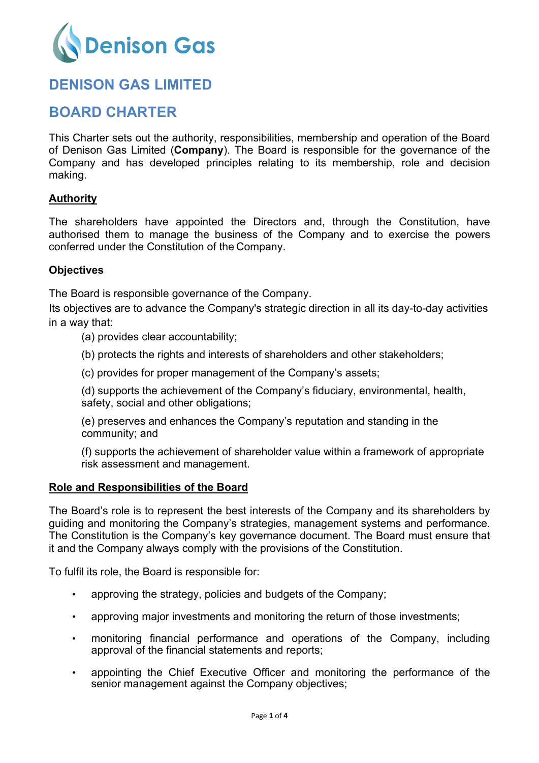

# **DENISON GAS LIMITED**

## **BOARD CHARTER**

This Charter sets out the authority, responsibilities, membership and operation of the Board of Denison Gas Limited (**Company**). The Board is responsible for the governance of the Company and has developed principles relating to its membership, role and decision making.

## **Authority**

The shareholders have appointed the Directors and, through the Constitution, have authorised them to manage the business of the Company and to exercise the powers conferred under the Constitution of the Company.

## **Objectives**

The Board is responsible governance of the Company.

Its objectives are to advance the Company's strategic direction in all its day-to-day activities in a way that:

- (a) provides clear accountability;
- (b) protects the rights and interests of shareholders and other stakeholders;
- (c) provides for proper management of the Company's assets;

(d) supports the achievement of the Company's fiduciary, environmental, health, safety, social and other obligations;

(e) preserves and enhances the Company's reputation and standing in the community; and

(f) supports the achievement of shareholder value within a framework of appropriate risk assessment and management.

#### **Role and Responsibilities of the Board**

The Board's role is to represent the best interests of the Company and its shareholders by guiding and monitoring the Company's strategies, management systems and performance. The Constitution is the Company's key governance document. The Board must ensure that it and the Company always comply with the provisions of the Constitution.

To fulfil its role, the Board is responsible for:

- approving the strategy, policies and budgets of the Company;
- approving major investments and monitoring the return of those investments;
- monitoring financial performance and operations of the Company, including approval of the financial statements and reports;
- appointing the Chief Executive Officer and monitoring the performance of the senior management against the Company objectives;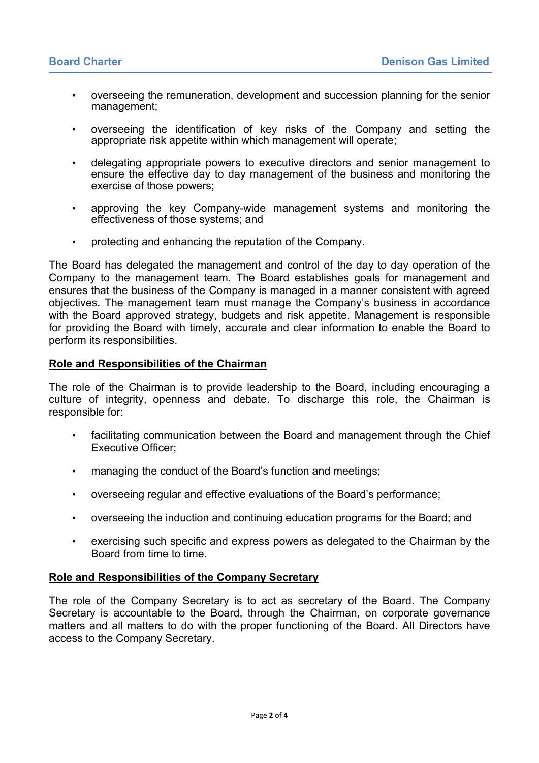- overseeing the remuneration, development and succession planning for the senior management;
- overseeing the identification of key risks of the Company and setting the appropriate risk appetite within which management will operate;
- delegating appropriate powers to executive directors and senior management to ensure the effective day to day management of the business and monitoring the exercise of those powers;
- approving the key Company-wide management systems and monitoring the effectiveness of those systems; and
- protecting and enhancing the reputation of the Company.

The Board has delegated the management and control of the day to day operation of the Company to the management team. The Board establishes goals for management and ensures that the business of the Company is managed in a manner consistent with agreed objectives. The management team must manage the Company's business in accordance with the Board approved strategy, budgets and risk appetite. Management is responsible for providing the Board with timely, accurate and clear information to enable the Board to perform its responsibilities.

#### **Role and Responsibilities of the Chairman**

The role of the Chairman is to provide leadership to the Board, including encouraging a culture of integrity, openness and debate. To discharge this role, the Chairman is responsible for:

- facilitating communication between the Board and management through the Chief Executive Officer;
- managing the conduct of the Board's function and meetings;
- overseeing regular and effective evaluations of the Board's performance;
- overseeing the induction and continuing education programs for the Board; and
- exercising such specific and express powers as delegated to the Chairman by the Board from time to time.

#### **Role and Responsibilities of the Company Secretary**

The role of the Company Secretary is to act as secretary of the Board. The Company Secretary is accountable to the Board, through the Chairman, on corporate governance matters and all matters to do with the proper functioning of the Board. All Directors have access to the Company Secretary.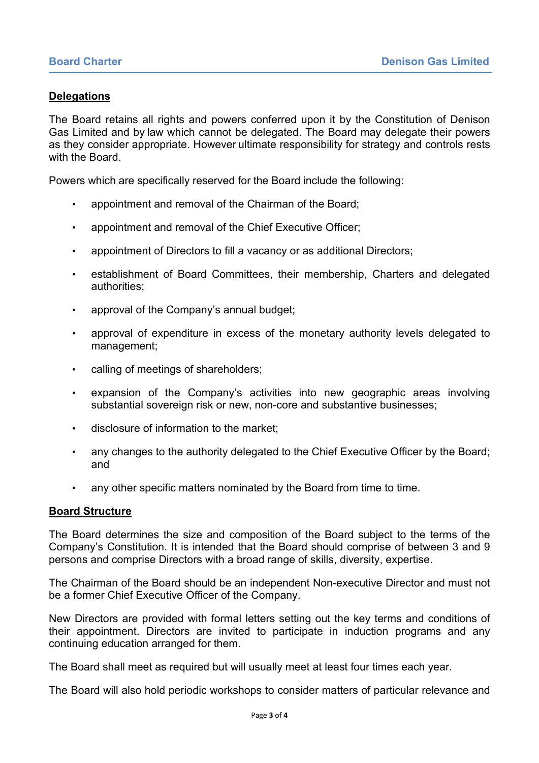### **Delegations**

The Board retains all rights and powers conferred upon it by the Constitution of Denison Gas Limited and by law which cannot be delegated. The Board may delegate their powers as they consider appropriate. However ultimate responsibility for strategy and controls rests with the Board.

Powers which are specifically reserved for the Board include the following:

- appointment and removal of the Chairman of the Board;
- appointment and removal of the Chief Executive Officer;
- appointment of Directors to fill a vacancy or as additional Directors;
- establishment of Board Committees, their membership, Charters and delegated authorities;
- approval of the Company's annual budget;
- approval of expenditure in excess of the monetary authority levels delegated to management;
- calling of meetings of shareholders;
- expansion of the Company's activities into new geographic areas involving substantial sovereign risk or new, non-core and substantive businesses;
- disclosure of information to the market;
- any changes to the authority delegated to the Chief Executive Officer by the Board; and
- any other specific matters nominated by the Board from time to time.

#### **Board Structure**

The Board determines the size and composition of the Board subject to the terms of the Company's Constitution. It is intended that the Board should comprise of between 3 and 9 persons and comprise Directors with a broad range of skills, diversity, expertise.

The Chairman of the Board should be an independent Non-executive Director and must not be a former Chief Executive Officer of the Company.

New Directors are provided with formal letters setting out the key terms and conditions of their appointment. Directors are invited to participate in induction programs and any continuing education arranged for them.

The Board shall meet as required but will usually meet at least four times each year.

The Board will also hold periodic workshops to consider matters of particular relevance and